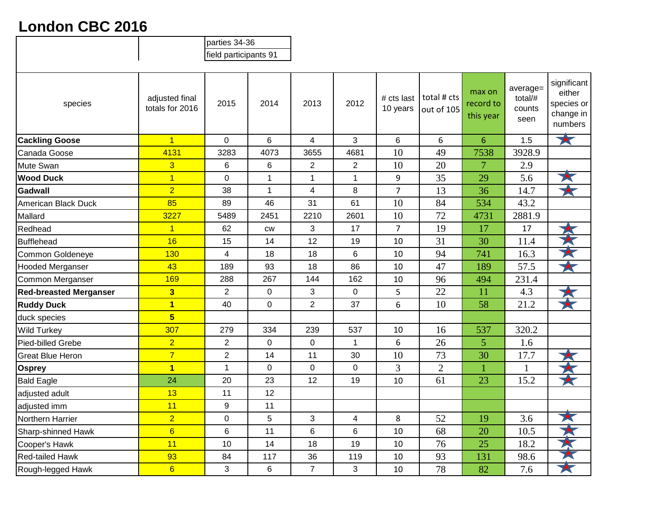## **London CBC 2016**

|                               |                                   | parties 34-36           |                 |                |                         |                        |                           |                                  |                                       |                                                             |
|-------------------------------|-----------------------------------|-------------------------|-----------------|----------------|-------------------------|------------------------|---------------------------|----------------------------------|---------------------------------------|-------------------------------------------------------------|
|                               |                                   | field participants 91   |                 |                |                         |                        |                           |                                  |                                       |                                                             |
| species                       | adjusted final<br>totals for 2016 | 2015                    | 2014            | 2013           | 2012                    | # cts last<br>10 years | total # cts<br>out of 105 | max on<br>record to<br>this year | average=<br>total/#<br>counts<br>seen | significant<br>either<br>species or<br>change in<br>numbers |
| <b>Cackling Goose</b>         | $\overline{1}$                    | $\mathbf 0$             | $6\phantom{1}$  | $\overline{4}$ | 3                       | 6                      | 6                         | 6                                | 1.5                                   | $\blacktriangleright$                                       |
| Canada Goose                  | 4131                              | 3283                    | 4073            | 3655           | 4681                    | 10                     | 49                        | 7538                             | 3928.9                                |                                                             |
| Mute Swan                     | $\overline{3}$                    | 6                       | $6\phantom{1}6$ | $\overline{2}$ | $\overline{2}$          | 10                     | 20                        | $\overline{7}$                   | 2.9                                   |                                                             |
| <b>Wood Duck</b>              | $\overline{1}$                    | $\mathbf 0$             | 1               | $\mathbf 1$    | $\mathbf{1}$            | 9                      | 35                        | 29                               | 5.6                                   | 大                                                           |
| Gadwall                       | $\overline{2}$                    | 38                      | $\mathbf{1}$    | 4              | 8                       | $\overline{7}$         | 13                        | 36                               | 14.7                                  | X                                                           |
| American Black Duck           | 85                                | 89                      | 46              | 31             | 61                      | 10                     | 84                        | 534                              | 43.2                                  |                                                             |
| Mallard                       | 3227                              | 5489                    | 2451            | 2210           | 2601                    | 10                     | 72                        | 4731                             | 2881.9                                |                                                             |
| Redhead                       | $\overline{1}$                    | 62                      | cw              | 3              | 17                      | $\overline{7}$         | 19                        | 17                               | 17                                    |                                                             |
| Bufflehead                    | 16                                | 15                      | 14              | 12             | 19                      | 10                     | 31                        | 30                               | 11.4                                  | 大大                                                          |
| Common Goldeneye              | 130                               | $\overline{\mathbf{4}}$ | 18              | 18             | 6                       | 10                     | 94                        | 741                              | 16.3                                  |                                                             |
| <b>Hooded Merganser</b>       | 43                                | 189                     | 93              | 18             | 86                      | 10                     | 47                        | 189                              | 57.5                                  | X                                                           |
| Common Merganser              | 169                               | 288                     | 267             | 144            | 162                     | 10                     | 96                        | 494                              | 231.4                                 |                                                             |
| <b>Red-breasted Merganser</b> | 3                                 | $\overline{2}$          | $\mathbf 0$     | 3              | 0                       | 5                      | 22                        | 11                               | 4.3                                   |                                                             |
| <b>Ruddy Duck</b>             | $\overline{\mathbf{1}}$           | 40                      | $\mathbf 0$     | $\overline{2}$ | 37                      | 6                      | 10                        | 58                               | 21.2                                  |                                                             |
| duck species                  | $5\overline{)}$                   |                         |                 |                |                         |                        |                           |                                  |                                       |                                                             |
| <b>Wild Turkey</b>            | 307                               | 279                     | 334             | 239            | 537                     | 10                     | 16                        | 537                              | 320.2                                 |                                                             |
| Pied-billed Grebe             | $\overline{2}$                    | $\overline{2}$          | $\mathbf 0$     | $\mathbf 0$    | $\mathbf{1}$            | 6                      | 26                        | 5                                | 1.6                                   |                                                             |
| <b>Great Blue Heron</b>       | $\overline{7}$                    | $\overline{2}$          | 14              | 11             | 30                      | 10                     | 73                        | 30                               | 17.7                                  |                                                             |
| <b>Osprey</b>                 | $\overline{1}$                    | $\mathbf{1}$            | $\mathbf 0$     | $\mathbf 0$    | 0                       | 3                      | $\overline{2}$            | 1                                | $\mathbf{1}$                          |                                                             |
| <b>Bald Eagle</b>             | 24                                | 20                      | 23              | 12             | 19                      | 10                     | 61                        | 23                               | 15.2                                  | $\star$                                                     |
| adjusted adult                | 13                                | 11                      | 12              |                |                         |                        |                           |                                  |                                       |                                                             |
| adjusted imm                  | 11                                | 9                       | 11              |                |                         |                        |                           |                                  |                                       |                                                             |
| Northern Harrier              | $\overline{2}$                    | $\mathbf 0$             | 5               | 3              | $\overline{\mathbf{4}}$ | 8                      | 52                        | 19                               | 3.6                                   | $\blacktriangleright$                                       |
| Sharp-shinned Hawk            | $6\overline{6}$                   | 6                       | 11              | 6              | 6                       | 10                     | 68                        | 20                               | 10.5                                  | X                                                           |
| Cooper's Hawk                 | 11                                | 10                      | 14              | 18             | 19                      | 10                     | 76                        | 25                               | 18.2                                  | 大大                                                          |
| <b>Red-tailed Hawk</b>        | 93                                | 84                      | 117             | 36             | 119                     | 10                     | 93                        | 131                              | 98.6                                  |                                                             |
| Rough-legged Hawk             | $6\overline{6}$                   | 3                       | 6               | $\overline{7}$ | 3                       | 10                     | 78                        | 82                               | 7.6                                   | 大                                                           |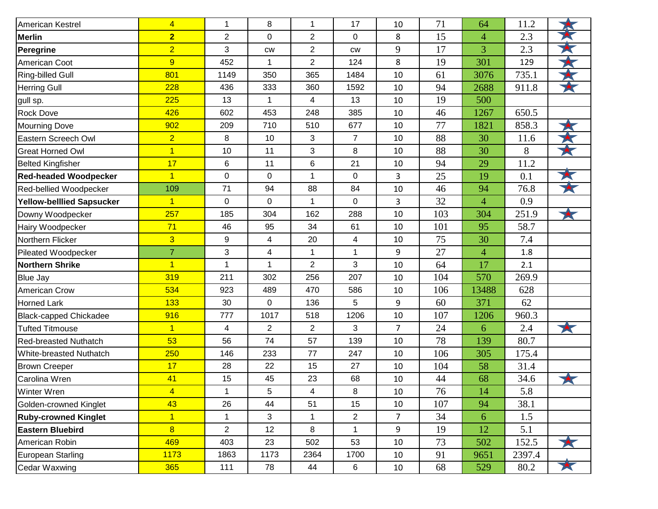| American Kestrel              | 4              | $\mathbf{1}$            | 8              | 1              | 17           | 10             | 71  | 64             | 11.2   |   |
|-------------------------------|----------------|-------------------------|----------------|----------------|--------------|----------------|-----|----------------|--------|---|
| Merlin                        | $\overline{2}$ | $\overline{2}$          | $\mathbf 0$    | $\overline{2}$ | 0            | 8              | 15  | $\overline{4}$ | 2.3    |   |
| Peregrine                     | $\overline{2}$ | 3                       | CW             | $\overline{2}$ | <b>CW</b>    | 9              | 17  | 3              | 2.3    | 大 |
| American Coot                 | 9              | 452                     |                | $\overline{2}$ | 124          | 8              | 19  | 301            | 129    |   |
| <b>Ring-billed Gull</b>       | 801            | 1149                    | 350            | 365            | 1484         | 10             | 61  | 3076           | 735.1  |   |
| <b>Herring Gull</b>           | 228            | 436                     | 333            | 360            | 1592         | 10             | 94  | 2688           | 911.8  | × |
| gull sp.                      | 225            | 13                      | 1              | 4              | 13           | 10             | 19  | 500            |        |   |
| <b>Rock Dove</b>              | 426            | 602                     | 453            | 248            | 385          | 10             | 46  | 1267           | 650.5  |   |
| <b>Mourning Dove</b>          | 902            | 209                     | 710            | 510            | 677          | 10             | 77  | 1821           | 858.3  |   |
| Eastern Screech Owl           | $\overline{2}$ | 8                       | 10             | 3              | 7            | 10             | 88  | 30             | 11.6   |   |
| <b>Great Horned Owl</b>       | $\overline{1}$ | 10                      | 11             | 3              | 8            | 10             | 88  | 30             | 8      |   |
| <b>Belted Kingfisher</b>      | 17             | 6                       | 11             | 6              | 21           | 10             | 94  | 29             | 11.2   |   |
| <b>Red-headed Woodpecker</b>  | $\overline{1}$ | $\pmb{0}$               | $\mathbf 0$    | 1              | 0            | 3              | 25  | 19             | 0.1    |   |
| Red-bellied Woodpecker        | 109            | 71                      | 94             | 88             | 84           | 10             | 46  | 94             | 76.8   |   |
| Yellow-belllied Sapsucker     | $\overline{1}$ | 0                       | $\Omega$       | 1              | 0            | 3              | 32  | $\overline{4}$ | 0.9    |   |
| Downy Woodpecker              | 257            | 185                     | 304            | 162            | 288          | 10             | 103 | 304            | 251.9  | 大 |
| Hairy Woodpecker              | 71             | 46                      | 95             | 34             | 61           | 10             | 101 | 95             | 58.7   |   |
| Northern Flicker              | $\overline{3}$ | 9                       | 4              | 20             | 4            | 10             | 75  | 30             | 7.4    |   |
| Pileated Woodpecker           | $\overline{7}$ | 3                       | 4              | 1              | $\mathbf{1}$ | 9              | 27  | $\overline{4}$ | 1.8    |   |
| <b>Northern Shrike</b>        | $\overline{1}$ | $\mathbf{1}$            | 1              | $\overline{2}$ | 3            | 10             | 64  | 17             | 2.1    |   |
| <b>Blue Jay</b>               | 319            | 211                     | 302            | 256            | 207          | 10             | 104 | 570            | 269.9  |   |
| <b>American Crow</b>          | 534            | 923                     | 489            | 470            | 586          | 10             | 106 | 13488          | 628    |   |
| <b>Horned Lark</b>            | 133            | 30                      | $\overline{0}$ | 136            | 5            | 9              | 60  | 371            | 62     |   |
| <b>Black-capped Chickadee</b> | 916            | 777                     | 1017           | 518            | 1206         | 10             | 107 | 1206           | 960.3  |   |
| <b>Tufted Titmouse</b>        | $\overline{1}$ | $\overline{\mathbf{4}}$ | $\overline{2}$ | $\overline{2}$ | 3            | $\overline{7}$ | 24  | 6              | 2.4    |   |
| <b>Red-breasted Nuthatch</b>  | 53             | 56                      | 74             | 57             | 139          | 10             | 78  | 139            | 80.7   |   |
| White-breasted Nuthatch       | 250            | 146                     | 233            | 77             | 247          | 10             | 106 | 305            | 175.4  |   |
| <b>Brown Creeper</b>          | 17             | 28                      | 22             | 15             | 27           | 10             | 104 | 58             | 31.4   |   |
| Carolina Wren                 | 41             | 15                      | 45             | 23             | 68           | 10             | 44  | 68             | 34.6   |   |
| Winter Wren                   | $\overline{4}$ |                         | 5              | 4              | 8            | 10             | 76  | 14             | 5.8    |   |
| Golden-crowned Kinglet        | 43             | 26                      | 44             | 51             | 15           | 10             | 107 | 94             | 38.1   |   |
| <b>Ruby-crowned Kinglet</b>   | $\overline{1}$ | 1                       | 3              | 1              | 2            | 7              | 34  | 6              | 1.5    |   |
| <b>Eastern Bluebird</b>       | $\overline{8}$ | $\overline{2}$          | 12             | 8              | 1            | 9              | 19  | 12             | 5.1    |   |
| American Robin                | 469            | 403                     | 23             | 502            | 53           | 10             | 73  | 502            | 152.5  |   |
| <b>European Starling</b>      | 1173           | 1863                    | 1173           | 2364           | 1700         | 10             | 91  | 9651           | 2397.4 |   |
| <b>Cedar Waxwing</b>          | 365            | 111                     | 78             | 44             | 6            | 10             | 68  | 529            | 80.2   | 大 |
|                               |                |                         |                |                |              |                |     |                |        |   |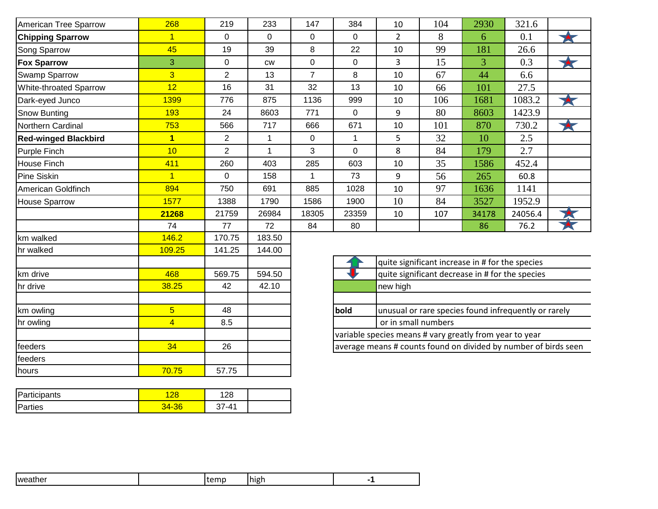| American Tree Sparrow         | 268            | 219            | 233          | 147            | 384         | 10                                                              | 104 | 2930                                                 | 321.6   |          |
|-------------------------------|----------------|----------------|--------------|----------------|-------------|-----------------------------------------------------------------|-----|------------------------------------------------------|---------|----------|
| <b>Chipping Sparrow</b>       | $\overline{1}$ | $\mathbf 0$    | $\Omega$     | 0              | $\Omega$    | $\overline{2}$                                                  | 8   | 6                                                    | 0.1     | $\star$  |
| Song Sparrow                  | 45             | 19             | 39           | 8              | 22          | 10                                                              | 99  | 181                                                  | 26.6    |          |
| <b>Fox Sparrow</b>            | 3              | $\mathbf 0$    | <b>CW</b>    | 0              | $\mathbf 0$ | 3                                                               | 15  | 3                                                    | 0.3     | 大        |
| <b>Swamp Sparrow</b>          | $\overline{3}$ | $\overline{2}$ | 13           | $\overline{7}$ | 8           | 10                                                              | 67  | 44                                                   | 6.6     |          |
| <b>White-throated Sparrow</b> | 12             | 16             | 31           | 32             | 13          | 10                                                              | 66  | 101                                                  | 27.5    |          |
| Dark-eyed Junco               | 1399           | 776            | 875          | 1136           | 999         | 10                                                              | 106 | 1681                                                 | 1083.2  | 大        |
| Snow Bunting                  | 193            | 24             | 8603         | 771            | 0           | 9                                                               | 80  | 8603                                                 | 1423.9  |          |
| Northern Cardinal             | 753            | 566            | 717          | 666            | 671         | 10                                                              | 101 | 870                                                  | 730.2   | <b>X</b> |
| <b>Red-winged Blackbird</b>   | $\overline{1}$ | $\overline{2}$ | 1            | 0              | 1           | 5                                                               | 32  | 10                                                   | 2.5     |          |
| Purple Finch                  | 10             | $\overline{2}$ | $\mathbf{1}$ | 3              | $\mathbf 0$ | 8                                                               | 84  | 179                                                  | 2.7     |          |
| House Finch                   | 411            | 260            | 403          | 285            | 603         | 10                                                              | 35  | 1586                                                 | 452.4   |          |
| <b>Pine Siskin</b>            | $\overline{1}$ | 0              | 158          | 1              | 73          | 9                                                               | 56  | 265                                                  | 60.8    |          |
| American Goldfinch            | 894            | 750            | 691          | 885            | 1028        | 10                                                              | 97  | 1636                                                 | 1141    |          |
| <b>House Sparrow</b>          | 1577           | 1388           | 1790         | 1586           | 1900        | 10                                                              | 84  | 3527                                                 | 1952.9  |          |
|                               | 21268          | 21759          | 26984        | 18305          | 23359       | 10                                                              | 107 | 34178                                                | 24056.4 |          |
|                               | 74             | 77             | 72           | 84             | 80          |                                                                 |     | 86                                                   | 76.2    |          |
| km walked                     | 146.2          | 170.75         | 183.50       |                |             |                                                                 |     |                                                      |         |          |
| hr walked                     | 109.25         | 141.25         | 144.00       |                |             |                                                                 |     |                                                      |         |          |
|                               |                |                |              |                |             | quite significant increase in # for the species                 |     |                                                      |         |          |
| km drive                      | 468            | 569.75         | 594.50       |                |             | quite significant decrease in # for the species                 |     |                                                      |         |          |
| hr drive                      | 38.25          | 42             | 42.10        |                |             | new high                                                        |     |                                                      |         |          |
| km owling                     | $\overline{5}$ | 48             |              |                | bold        |                                                                 |     | unusual or rare species found infrequently or rarely |         |          |
| hr owling                     | $\overline{4}$ | 8.5            |              |                |             | or in small numbers                                             |     |                                                      |         |          |
|                               |                |                |              |                |             | variable species means # vary greatly from year to year         |     |                                                      |         |          |
| feeders                       | 34             | 26             |              |                |             | average means # counts found on divided by number of birds seen |     |                                                      |         |          |
| feeders                       |                |                |              |                |             |                                                                 |     |                                                      |         |          |
| hours                         | 70.75          | 57.75          |              |                |             |                                                                 |     |                                                      |         |          |
|                               |                |                |              |                |             |                                                                 |     |                                                      |         |          |

| Participants    |      | 128   |  |
|-----------------|------|-------|--|
| <b>IParties</b> | 1-36 | $-41$ |  |

| . | Iweather | ----- | Ihigh |  |  |
|---|----------|-------|-------|--|--|
|---|----------|-------|-------|--|--|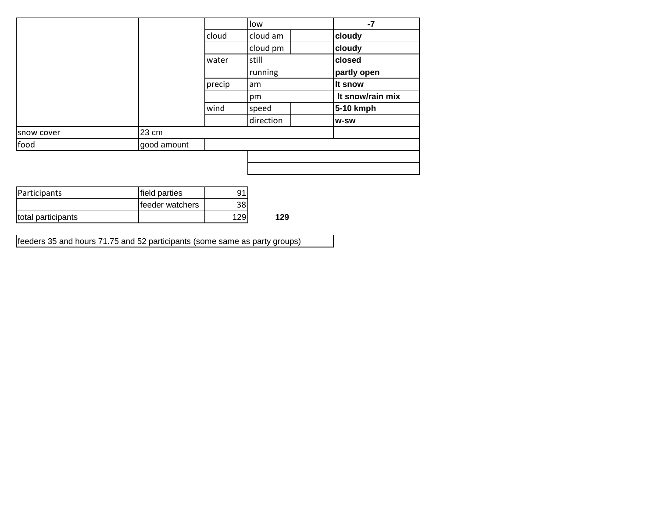|            |             |        | low       | $-7$             |
|------------|-------------|--------|-----------|------------------|
|            |             | cloud  | cloud am  | cloudy           |
|            |             |        | cloud pm  | cloudy           |
|            |             | water  | still     | closed           |
|            |             |        | running   | partly open      |
|            |             | precip | lam       | It snow          |
|            |             |        | pm        | It snow/rain mix |
|            |             | wind   | speed     | 5-10 kmph        |
|            |             |        | direction | <b>W-SW</b>      |
| snow cover | 23 cm       |        |           |                  |
| food       | good amount |        |           |                  |
|            |             |        |           |                  |
|            |             |        |           |                  |

| Participants       | field parties           | 91   |     |
|--------------------|-------------------------|------|-----|
|                    | <b>Ifeeder</b> watchers | 381  |     |
| total participants |                         | 1291 | 129 |

feeders 35 and hours 71.75 and 52 participants (some same as party groups)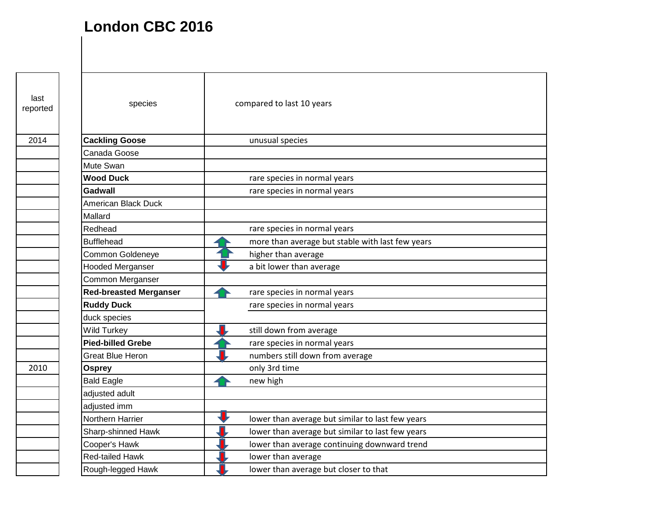## **London CBC 2016**

last<br>reported

| last<br>reported | species                       | compared to last 10 years                        |
|------------------|-------------------------------|--------------------------------------------------|
| 2014             | <b>Cackling Goose</b>         | unusual species                                  |
|                  | Canada Goose                  |                                                  |
|                  | Mute Swan                     |                                                  |
|                  | <b>Wood Duck</b>              | rare species in normal years                     |
|                  | <b>Gadwall</b>                | rare species in normal years                     |
|                  | American Black Duck           |                                                  |
|                  | Mallard                       |                                                  |
|                  | Redhead                       | rare species in normal years                     |
|                  | <b>Bufflehead</b>             | more than average but stable with last few years |
|                  | Common Goldeneye              | higher than average                              |
|                  | <b>Hooded Merganser</b>       | a bit lower than average                         |
|                  | Common Merganser              |                                                  |
|                  | <b>Red-breasted Merganser</b> | rare species in normal years                     |
|                  | <b>Ruddy Duck</b>             | rare species in normal years                     |
|                  | duck species                  |                                                  |
|                  | <b>Wild Turkey</b>            | still down from average                          |
|                  | <b>Pied-billed Grebe</b>      | rare species in normal years                     |
|                  | <b>Great Blue Heron</b>       | numbers still down from average                  |
| 2010             | <b>Osprey</b>                 | only 3rd time                                    |
|                  | <b>Bald Eagle</b>             | new high                                         |
|                  | adjusted adult                |                                                  |
|                  | adjusted imm                  |                                                  |
|                  | Northern Harrier              | lower than average but similar to last few years |
|                  | Sharp-shinned Hawk            | lower than average but similar to last few years |
|                  | Cooper's Hawk                 | lower than average continuing downward trend     |
|                  | <b>Red-tailed Hawk</b>        | lower than average                               |
|                  | Rough-legged Hawk             | lower than average but closer to that            |
|                  |                               |                                                  |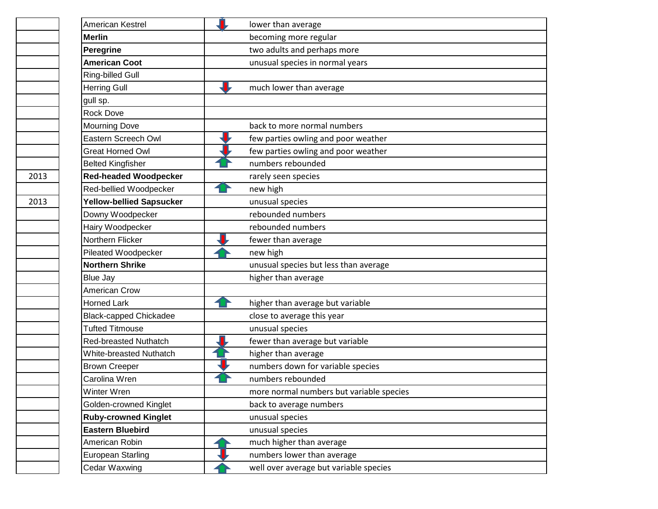| American Kestrel                | lower than average                       |
|---------------------------------|------------------------------------------|
| <b>Merlin</b>                   | becoming more regular                    |
| <b>Peregrine</b>                | two adults and perhaps more              |
| <b>American Coot</b>            | unusual species in normal years          |
| Ring-billed Gull                |                                          |
| <b>Herring Gull</b>             | much lower than average                  |
| gull sp.                        |                                          |
| <b>Rock Dove</b>                |                                          |
| <b>Mourning Dove</b>            | back to more normal numbers              |
| Eastern Screech Owl             | few parties owling and poor weather      |
| <b>Great Horned Owl</b>         | few parties owling and poor weather      |
| <b>Belted Kingfisher</b>        | numbers rebounded                        |
| <b>Red-headed Woodpecker</b>    | rarely seen species                      |
| Red-bellied Woodpecker          | new high                                 |
| <b>Yellow-bellied Sapsucker</b> | unusual species                          |
| Downy Woodpecker                | rebounded numbers                        |
| Hairy Woodpecker                | rebounded numbers                        |
| Northern Flicker                | fewer than average                       |
| Pileated Woodpecker             | new high                                 |
| <b>Northern Shrike</b>          | unusual species but less than average    |
| <b>Blue Jay</b>                 | higher than average                      |
| American Crow                   |                                          |
| <b>Horned Lark</b>              | higher than average but variable         |
| <b>Black-capped Chickadee</b>   | close to average this year               |
| <b>Tufted Titmouse</b>          | unusual species                          |
| Red-breasted Nuthatch           | fewer than average but variable          |
| White-breasted Nuthatch         | higher than average                      |
| <b>Brown Creeper</b>            | numbers down for variable species        |
| Carolina Wren                   | numbers rebounded                        |
| Winter Wren                     | more normal numbers but variable species |
| Golden-crowned Kinglet          | back to average numbers                  |
| <b>Ruby-crowned Kinglet</b>     | unusual species                          |
| <b>Eastern Bluebird</b>         | unusual species                          |
| American Robin                  | much higher than average                 |
| <b>European Starling</b>        | numbers lower than average               |
| Cedar Waxwing                   | well over average but variable species   |